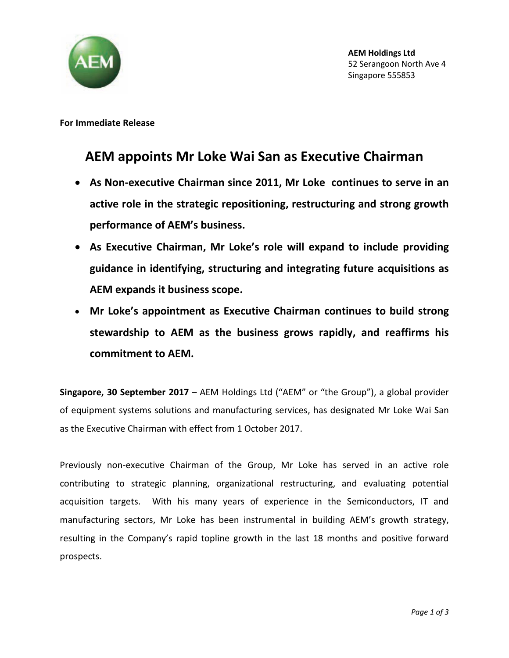

**For Immediate Release**

## **AEM appoints Mr Loke Wai San as Executive Chairman**

- **As Non-executive Chairman since 2011, Mr Loke continues to serve in an active role in the strategic repositioning, restructuring and strong growth performance of AEM's business.**
- **As Executive Chairman, Mr Loke's role will expand to include providing guidance in identifying, structuring and integrating future acquisitions as AEM expands it business scope.**
- **Mr Loke's appointment as Executive Chairman continues to build strong stewardship to AEM as the business grows rapidly, and reaffirms his commitment to AEM.**

**Singapore, 30 September 2017** – AEM Holdings Ltd ("AEM" or "the Group"), a global provider of equipment systems solutions and manufacturing services, has designated Mr Loke Wai San as the Executive Chairman with effect from 1 October 2017.

Previously non-executive Chairman of the Group, Mr Loke has served in an active role contributing to strategic planning, organizational restructuring, and evaluating potential acquisition targets. With his many years of experience in the Semiconductors, IT and manufacturing sectors, Mr Loke has been instrumental in building AEM's growth strategy, resulting in the Company's rapid topline growth in the last 18 months and positive forward prospects.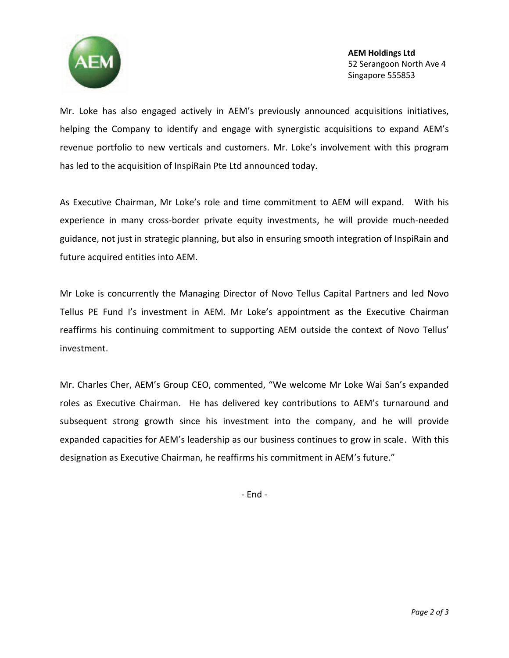

**AEM Holdings Ltd** 52 Serangoon North Ave 4 Singapore 555853

Mr. Loke has also engaged actively in AEM's previously announced acquisitions initiatives, helping the Company to identify and engage with synergistic acquisitions to expand AEM's revenue portfolio to new verticals and customers. Mr. Loke's involvement with this program has led to the acquisition of InspiRain Pte Ltd announced today.

As Executive Chairman, Mr Loke's role and time commitment to AEM will expand. With his experience in many cross-border private equity investments, he will provide much-needed guidance, not just in strategic planning, but also in ensuring smooth integration of InspiRain and future acquired entities into AEM.

Mr Loke is concurrently the Managing Director of Novo Tellus Capital Partners and led Novo Tellus PE Fund I's investment in AEM. Mr Loke's appointment as the Executive Chairman reaffirms his continuing commitment to supporting AEM outside the context of Novo Tellus' investment.

Mr. Charles Cher, AEM's Group CEO, commented, "We welcome Mr Loke Wai San's expanded roles as Executive Chairman. He has delivered key contributions to AEM's turnaround and subsequent strong growth since his investment into the company, and he will provide expanded capacities for AEM's leadership as our business continues to grow in scale. With this designation as Executive Chairman, he reaffirms his commitment in AEM's future."

- End -